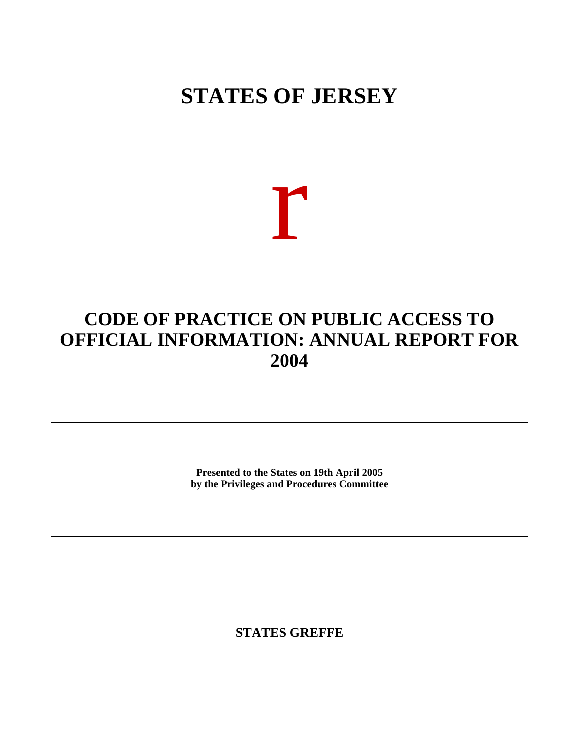## **STATES OF JERSEY**

# r

### **CODE OF PRACTICE ON PUBLIC ACCESS TO OFFICIAL INFORMATION: ANNUAL REPORT FOR 2004**

**Presented to the States on 19th April 2005 by the Privileges and Procedures Committee**

**STATES GREFFE**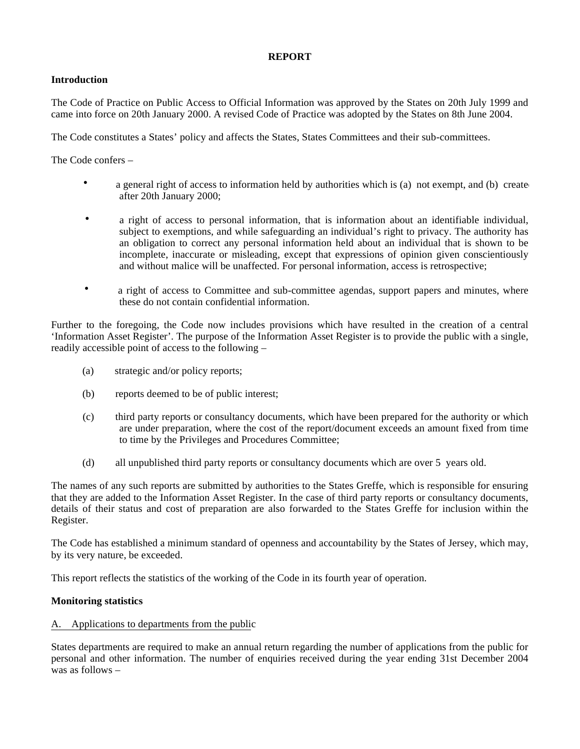#### **REPORT**

#### **Introduction**

The Code of Practice on Public Access to Official Information was approved by the States on 20th July 1999 and came into force on 20th January 2000. A revised Code of Practice was adopted by the States on 8th June 2004.

The Code constitutes a States' policy and affects the States, States Committees and their sub-committees.

The Code confers –

- a general right of access to information held by authorities which is (a) not exempt, and (b) create after 20th January 2000;
- a right of access to personal information, that is information about an identifiable individual, subject to exemptions, and while safeguarding an individual's right to privacy. The authority has an obligation to correct any personal information held about an individual that is shown to be incomplete, inaccurate or misleading, except that expressions of opinion given conscientiously and without malice will be unaffected. For personal information, access is retrospective;
- a right of access to Committee and sub-committee agendas, support papers and minutes, where these do not contain confidential information.

Further to the foregoing, the Code now includes provisions which have resulted in the creation of a central 'Information Asset Register'. The purpose of the Information Asset Register is to provide the public with a single, readily accessible point of access to the following –

- (a) strategic and/or policy reports;
- (b) reports deemed to be of public interest;
- (c) third party reports or consultancy documents, which have been prepared for the authority or which are under preparation, where the cost of the report/document exceeds an amount fixed from time to time by the Privileges and Procedures Committee;
- (d) all unpublished third party reports or consultancy documents which are over 5 years old.

The names of any such reports are submitted by authorities to the States Greffe, which is responsible for ensuring that they are added to the Information Asset Register. In the case of third party reports or consultancy documents, details of their status and cost of preparation are also forwarded to the States Greffe for inclusion within the Register.

The Code has established a minimum standard of openness and accountability by the States of Jersey, which may, by its very nature, be exceeded.

This report reflects the statistics of the working of the Code in its fourth year of operation.

#### **Monitoring statistics**

#### A. Applications to departments from the public

States departments are required to make an annual return regarding the number of applications from the public for personal and other information. The number of enquiries received during the year ending 31st December 2004 was as follows –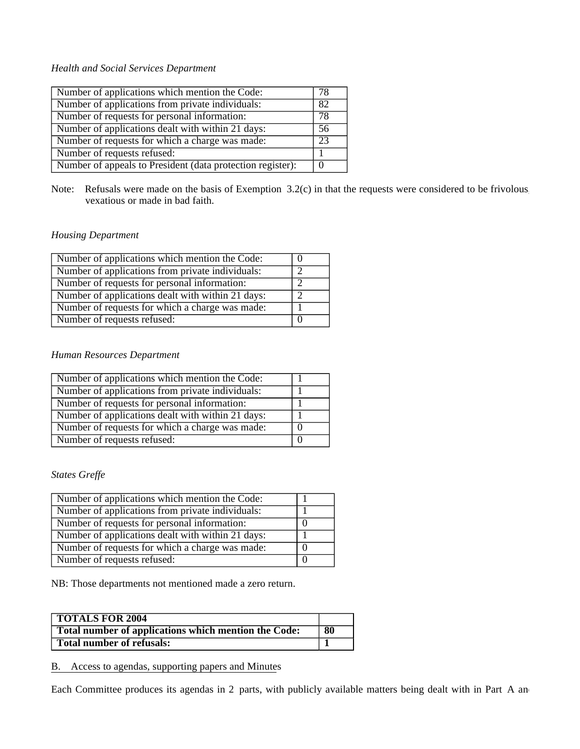#### *Health and Social Services Department*

| Number of applications which mention the Code:             | 78 |
|------------------------------------------------------------|----|
| Number of applications from private individuals:           | 82 |
| Number of requests for personal information:               | 78 |
| Number of applications dealt with within 21 days:          | 56 |
| Number of requests for which a charge was made:            | 23 |
| Number of requests refused:                                |    |
| Number of appeals to President (data protection register): |    |

Note: Refusals were made on the basis of Exemption 3.2(c) in that the requests were considered to be frivolous vexatious or made in bad faith.

#### *Housing Department*

| Number of applications which mention the Code:    |   |
|---------------------------------------------------|---|
| Number of applications from private individuals:  | ◠ |
| Number of requests for personal information:      |   |
| Number of applications dealt with within 21 days: |   |
| Number of requests for which a charge was made:   |   |
| Number of requests refused:                       |   |

#### *Human Resources Department*

| Number of applications which mention the Code:    |  |
|---------------------------------------------------|--|
| Number of applications from private individuals:  |  |
| Number of requests for personal information:      |  |
| Number of applications dealt with within 21 days: |  |
| Number of requests for which a charge was made:   |  |
| Number of requests refused:                       |  |

#### *States Greffe*

| Number of applications which mention the Code:    |  |
|---------------------------------------------------|--|
| Number of applications from private individuals:  |  |
| Number of requests for personal information:      |  |
| Number of applications dealt with within 21 days: |  |
| Number of requests for which a charge was made:   |  |
| Number of requests refused:                       |  |

NB: Those departments not mentioned made a zero return.

| <b>TOTALS FOR 2004</b>                               |    |
|------------------------------------------------------|----|
| Total number of applications which mention the Code: | 80 |
| <b>Total number of refusals:</b>                     |    |

#### B. Access to agendas, supporting papers and Minutes

Each Committee produces its agendas in 2 parts, with publicly available matters being dealt with in Part A and